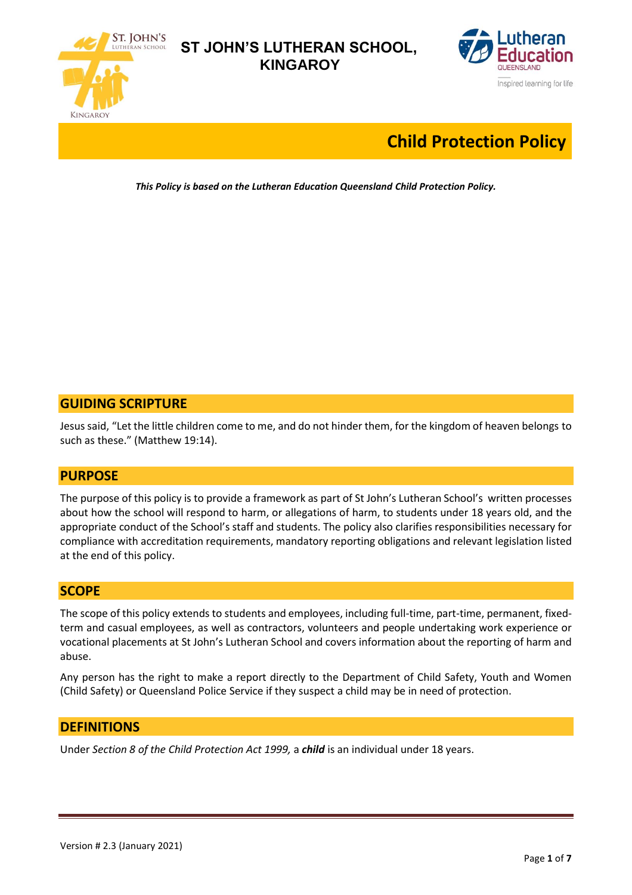



# **Child Protection Policy**

*This Policy is based on the Lutheran Education Queensland Child Protection Policy.*

## **GUIDING SCRIPTURE**

Jesus said, "Let the little children come to me, and do not hinder them, for the kingdom of heaven belongs to such as these." (Matthew 19:14).

### **PURPOSE**

The purpose of this policy is to provide a framework as part of St John's Lutheran School's written processes about how the school will respond to harm, or allegations of harm, to students under 18 years old, and the appropriate conduct of the School's staff and students. The policy also clarifies responsibilities necessary for compliance with accreditation requirements, mandatory reporting obligations and relevant legislation listed at the end of this policy.

## **SCOPE**

The scope of this policy extends to students and employees, including full-time, part-time, permanent, fixedterm and casual employees, as well as contractors, volunteers and people undertaking work experience or vocational placements at St John's Lutheran School and covers information about the reporting of harm and abuse.

Any person has the right to make a report directly to the Department of Child Safety, Youth and Women (Child Safety) or Queensland Police Service if they suspect a child may be in need of protection.

### **DEFINITIONS**

Under *Section 8 of the Child Protection Act 1999,* a *child* is an individual under 18 years.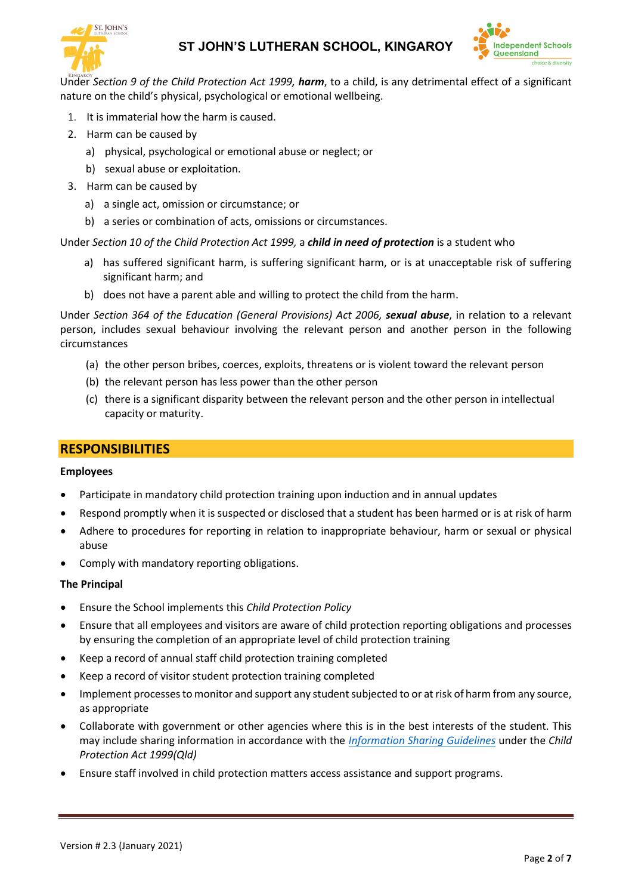



Under *Section 9 of the Child Protection Act 1999, harm*, to a child, is any detrimental effect of a significant nature on the child's physical, psychological or emotional wellbeing.

- 1. It is immaterial how the harm is caused.
- 2. Harm can be caused by
	- a) physical, psychological or emotional abuse or neglect; or
	- b) sexual abuse or exploitation.
- 3. Harm can be caused by
	- a) a single act, omission or circumstance; or
	- b) a series or combination of acts, omissions or circumstances.

Under *Section 10 of the Child Protection Act 1999,* a *child in need of protection* is a student who

- a) has suffered significant harm, is suffering significant harm, or is at unacceptable risk of suffering significant harm; and
- b) does not have a parent able and willing to protect the child from the harm.

Under *Section 364 of the Education (General Provisions) Act 2006, sexual abuse*, in relation to a relevant person, includes sexual behaviour involving the relevant person and another person in the following circumstances

- (a) the other person bribes, coerces, exploits, threatens or is violent toward the relevant person
- (b) the relevant person has less power than the other person
- (c) there is a significant disparity between the relevant person and the other person in intellectual capacity or maturity.

#### **RESPONSIBILITIES**

#### **Employees**

- Participate in mandatory child protection training upon induction and in annual updates
- Respond promptly when it is suspected or disclosed that a student has been harmed or is at risk of harm
- Adhere to procedures for reporting in relation to inappropriate behaviour, harm or sexual or physical abuse
- Comply with mandatory reporting obligations.

#### **The Principal**

- Ensure the School implements this *Child Protection Policy*
- Ensure that all employees and visitors are aware of child protection reporting obligations and processes by ensuring the completion of an appropriate level of child protection training
- Keep a record of annual staff child protection training completed
- Keep a record of visitor student protection training completed
- Implement processes to monitor and support any student subjected to or at risk of harm from any source, as appropriate
- Collaborate with government or other agencies where this is in the best interests of the student. This may include sharing information in accordance with the *[Information Sharing Guidelines](https://www.csyw.qld.gov.au/resources/dcsyw/child-family/child-family-reform/information-sharing-guideline.pdf)* under the *Child Protection Act 1999(Qld)*
- Ensure staff involved in child protection matters access assistance and support programs.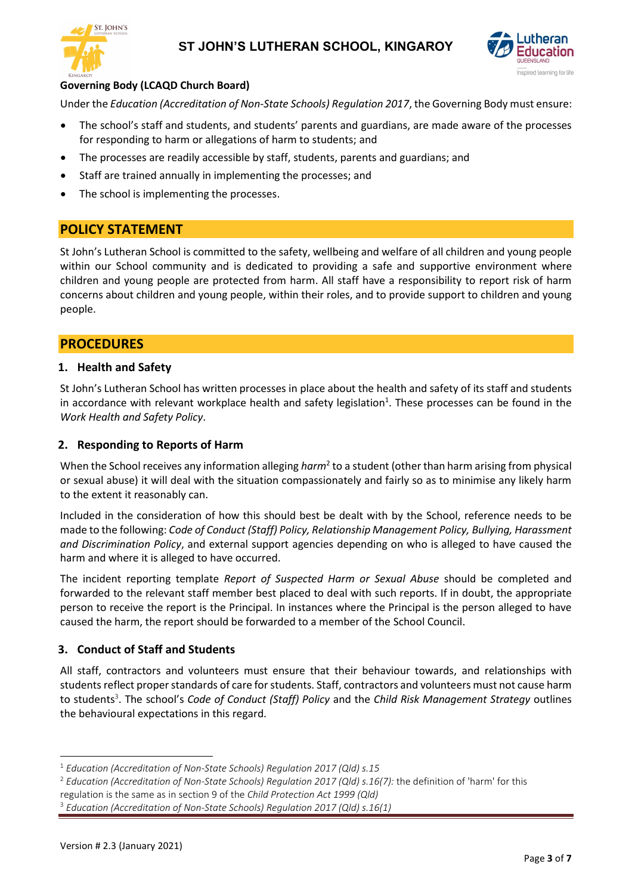



### **Governing Body (LCAQD Church Board)**

Under the *Education (Accreditation of Non-State Schools) Regulation 2017*, the Governing Body must ensure:

- The school's staff and students, and students' parents and guardians, are made aware of the processes for responding to harm or allegations of harm to students; and
- The processes are readily accessible by staff, students, parents and guardians; and
- Staff are trained annually in implementing the processes; and
- The school is implementing the processes.

### **POLICY STATEMENT**

St John's Lutheran School is committed to the safety, wellbeing and welfare of all children and young people within our School community and is dedicated to providing a safe and supportive environment where children and young people are protected from harm. All staff have a responsibility to report risk of harm concerns about children and young people, within their roles, and to provide support to children and young people.

### **PROCEDURES**

### **1. Health and Safety**

St John's Lutheran School has written processes in place about the health and safety of its staff and students in accordance with relevant workplace health and safety legislation<sup>1</sup>. These processes can be found in the *Work Health and Safety Policy*.

### **2. Responding to Reports of Harm**

When the School receives any information alleging *harm*<sup>2</sup> to a student (other than harm arising from physical or sexual abuse) it will deal with the situation compassionately and fairly so as to minimise any likely harm to the extent it reasonably can.

Included in the consideration of how this should best be dealt with by the School, reference needs to be made to the following: *Code of Conduct (Staff) Policy, Relationship Management Policy, Bullying, Harassment and Discrimination Policy*, and external support agencies depending on who is alleged to have caused the harm and where it is alleged to have occurred.

The incident reporting template *Report of Suspected Harm or Sexual Abuse* should be completed and forwarded to the relevant staff member best placed to deal with such reports. If in doubt, the appropriate person to receive the report is the Principal. In instances where the Principal is the person alleged to have caused the harm, the report should be forwarded to a member of the School Council.

### **3. Conduct of Staff and Students**

All staff, contractors and volunteers must ensure that their behaviour towards, and relationships with students reflect proper standards of care for students. Staff, contractors and volunteers must not cause harm to students<sup>3</sup>. The school's *Code of Conduct (Staff) Policy* and the *Child Risk Management Strategy* outlines the behavioural expectations in this regard.

<sup>1</sup> *Education (Accreditation of Non-State Schools) Regulation 2017 (Qld) s.15*

<sup>2</sup> *Education (Accreditation of Non-State Schools) Regulation 2017 (Qld) s.16(7):* the definition of 'harm' for this

regulation is the same as in section 9 of the *Child Protection Act 1999 (Qld)*

<sup>3</sup> *Education (Accreditation of Non-State Schools) Regulation 2017 (Qld) s.16(1)*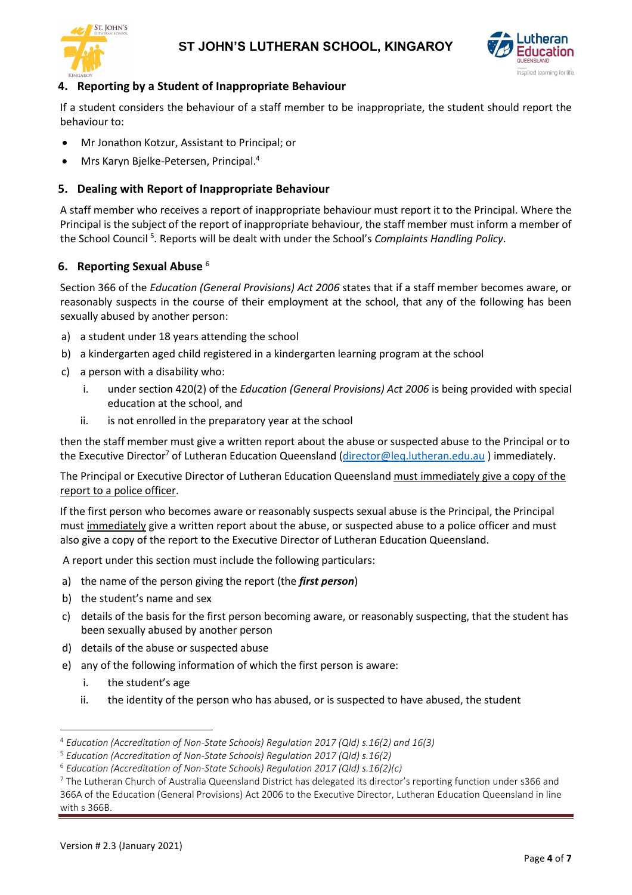



### **4. Reporting by a Student of Inappropriate Behaviour**

If a student considers the behaviour of a staff member to be inappropriate, the student should report the behaviour to:

- Mr Jonathon Kotzur, Assistant to Principal; or
- Mrs Karyn Bjelke-Petersen, Principal.<sup>4</sup>

### **5. Dealing with Report of Inappropriate Behaviour**

A staff member who receives a report of inappropriate behaviour must report it to the Principal. Where the Principal is the subject of the report of inappropriate behaviour, the staff member must inform a member of the School Council <sup>5</sup> . Reports will be dealt with under the School's *Complaints Handling Policy*.

### **6. Reporting Sexual Abuse** <sup>6</sup>

Section 366 of the *Education (General Provisions) Act 2006* states that if a staff member becomes aware, or reasonably suspects in the course of their employment at the school, that any of the following has been sexually abused by another person:

- a) a student under 18 years attending the school
- b) a kindergarten aged child registered in a kindergarten learning program at the school
- c) a person with a disability who:
	- i. under section 420(2) of the *Education (General Provisions) Act 2006* is being provided with special education at the school, and
	- ii. is not enrolled in the preparatory year at the school

then the staff member must give a written report about the abuse or suspected abuse to the Principal or to the Executive Director<sup>7</sup> of Lutheran Education Queensland [\(director@leq.lutheran.edu.au](mailto:director@leq.lutheran.edu.au) ) immediately.

The Principal or Executive Director of Lutheran Education Queensland must immediately give a copy of the report to a police officer.

If the first person who becomes aware or reasonably suspects sexual abuse is the Principal, the Principal must immediately give a written report about the abuse, or suspected abuse to a police officer and must also give a copy of the report to the Executive Director of Lutheran Education Queensland.

A report under this section must include the following particulars:

- a) the name of the person giving the report (the *first person*)
- b) the student's name and sex
- c) details of the basis for the first person becoming aware, or reasonably suspecting, that the student has been sexually abused by another person
- d) details of the abuse or suspected abuse
- e) any of the following information of which the first person is aware:
	- i. the student's age
	- ii. the identity of the person who has abused, or is suspected to have abused, the student

<sup>4</sup> *Education (Accreditation of Non-State Schools) Regulation 2017 (Qld) s.16(2) and 16(3)*

<sup>5</sup> *Education (Accreditation of Non-State Schools) Regulation 2017 (Qld) s.16(2)*

<sup>6</sup> *Education (Accreditation of Non-State Schools) Regulation 2017 (Qld) s.16(2)(c)*

<sup>&</sup>lt;sup>7</sup> The Lutheran Church of Australia Queensland District has delegated its director's reporting function under s366 and 366A of the Education (General Provisions) Act 2006 to the Executive Director, Lutheran Education Queensland in line with s 366B.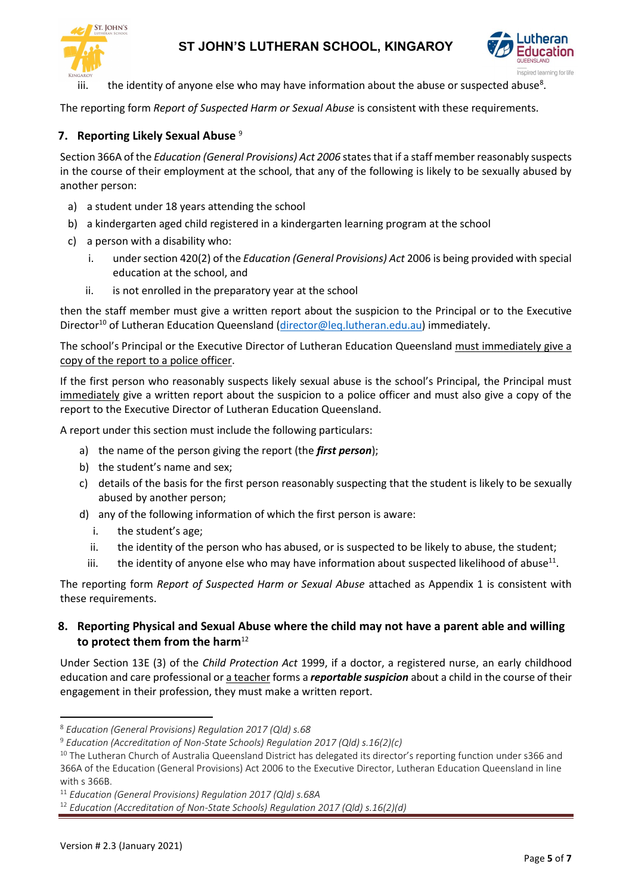



iii.  $\quad$  the identity of anyone else who may have information about the abuse or suspected abuse<sup>8</sup>.

The reporting form *Report of Suspected Harm or Sexual Abuse* is consistent with these requirements.

### **7. Reporting Likely Sexual Abuse** <sup>9</sup>

Section 366A of the *Education (General Provisions) Act 2006* states that if a staff member reasonably suspects in the course of their employment at the school, that any of the following is likely to be sexually abused by another person:

- a) a student under 18 years attending the school
- b) a kindergarten aged child registered in a kindergarten learning program at the school
- c) a person with a disability who:
	- i. under section 420(2) of the *Education (General Provisions) Act* 2006 is being provided with special education at the school, and
	- ii. is not enrolled in the preparatory year at the school

then the staff member must give a written report about the suspicion to the Principal or to the Executive Director<sup>10</sup> of Lutheran Education Queensland [\(director@leq.lutheran.edu.au\)](mailto:director@leq.lutheran.edu.au) immediately.

The school's Principal or the Executive Director of Lutheran Education Queensland must immediately give a copy of the report to a police officer.

If the first person who reasonably suspects likely sexual abuse is the school's Principal, the Principal must immediately give a written report about the suspicion to a police officer and must also give a copy of the report to the Executive Director of Lutheran Education Queensland.

A report under this section must include the following particulars:

- a) the name of the person giving the report (the *first person*);
- b) the student's name and sex;
- c) details of the basis for the first person reasonably suspecting that the student is likely to be sexually abused by another person;
- d) any of the following information of which the first person is aware:
	- i. the student's age;
	- ii. the identity of the person who has abused, or is suspected to be likely to abuse, the student;
	- iii.  $\quad$  the identity of anyone else who may have information about suspected likelihood of abuse<sup>11</sup>.

The reporting form *Report of Suspected Harm or Sexual Abuse* attached as Appendix 1 is consistent with these requirements.

### **8. Reporting Physical and Sexual Abuse where the child may not have a parent able and willing**  to protect them from the harm<sup>12</sup>

Under Section 13E (3) of the *Child Protection Act* 1999, if a doctor, a registered nurse, an early childhood education and care professional or a teacher forms a *reportable suspicion* about a child in the course of their engagement in their profession, they must make a written report.

<sup>8</sup> *Education (General Provisions) Regulation 2017 (Qld) s.68*

<sup>9</sup> *Education (Accreditation of Non-State Schools) Regulation 2017 (Qld) s.16(2)(c)*

<sup>&</sup>lt;sup>10</sup> The Lutheran Church of Australia Queensland District has delegated its director's reporting function under s366 and 366A of the Education (General Provisions) Act 2006 to the Executive Director, Lutheran Education Queensland in line with s 366B.

<sup>11</sup> *Education (General Provisions) Regulation 2017 (Qld) s.68A*

<sup>12</sup> *Education (Accreditation of Non-State Schools) Regulation 2017 (Qld) s.16(2)(d)*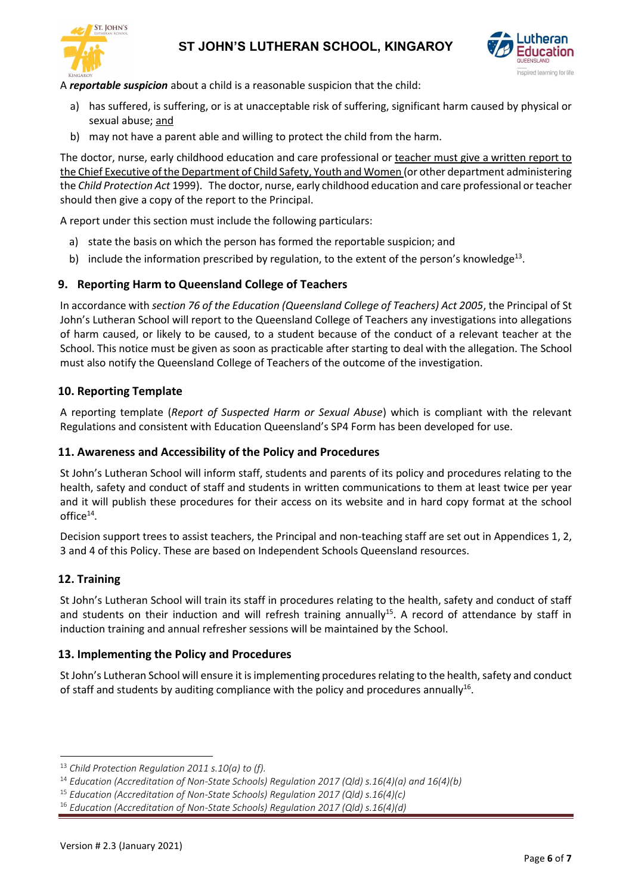



A *reportable suspicion* about a child is a reasonable suspicion that the child:

- a) has suffered, is suffering, or is at unacceptable risk of suffering, significant harm caused by physical or sexual abuse; and
- b) may not have a parent able and willing to protect the child from the harm.

The doctor, nurse, early childhood education and care professional or teacher must give a written report to the Chief Executive of the Department of Child Safety, Youth and Women (or other department administering the *Child Protection Act* 1999). The doctor, nurse, early childhood education and care professional or teacher should then give a copy of the report to the Principal.

A report under this section must include the following particulars:

- a) state the basis on which the person has formed the reportable suspicion; and
- b) include the information prescribed by regulation, to the extent of the person's knowledge<sup>13</sup>.

### **9. Reporting Harm to Queensland College of Teachers**

In accordance with *section 76 of the Education (Queensland College of Teachers) Act 2005*, the Principal of St John's Lutheran School will report to the Queensland College of Teachers any investigations into allegations of harm caused, or likely to be caused, to a student because of the conduct of a relevant teacher at the School. This notice must be given as soon as practicable after starting to deal with the allegation. The School must also notify the Queensland College of Teachers of the outcome of the investigation.

### **10. Reporting Template**

A reporting template (*Report of Suspected Harm or Sexual Abuse*) which is compliant with the relevant Regulations and consistent with Education Queensland's SP4 Form has been developed for use.

#### **11. Awareness and Accessibility of the Policy and Procedures**

St John's Lutheran School will inform staff, students and parents of its policy and procedures relating to the health, safety and conduct of staff and students in written communications to them at least twice per year and it will publish these procedures for their access on its website and in hard copy format at the school office $^{14}$ .

Decision support trees to assist teachers, the Principal and non-teaching staff are set out in Appendices 1, 2, 3 and 4 of this Policy. These are based on Independent Schools Queensland resources.

### **12. Training**

St John's Lutheran School will train its staff in procedures relating to the health, safety and conduct of staff and students on their induction and will refresh training annually<sup>15</sup>. A record of attendance by staff in induction training and annual refresher sessions will be maintained by the School.

#### **13. Implementing the Policy and Procedures**

St John's Lutheran School will ensure it is implementing procedures relating to the health, safety and conduct of staff and students by auditing compliance with the policy and procedures annually<sup>16</sup>.

<sup>13</sup> *Child Protection Regulation 2011 s.10(a) to (f).*

<sup>14</sup> *Education (Accreditation of Non-State Schools) Regulation 2017 (Qld) s.16(4)(a) and 16(4)(b)*

<sup>15</sup> *Education (Accreditation of Non-State Schools) Regulation 2017 (Qld) s.16(4)(c)*

<sup>16</sup> *Education (Accreditation of Non-State Schools) Regulation 2017 (Qld) s.16(4)(d)*